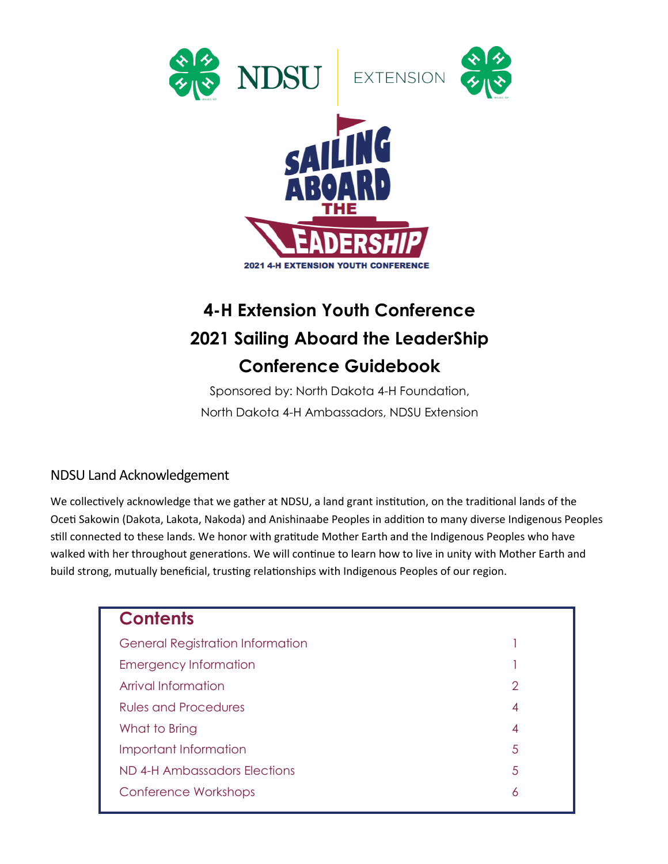

# **4-H Extension Youth Conference 2021 Sailing Aboard the LeaderShip Conference Guidebook**

Sponsored by: North Dakota 4-H Foundation, North Dakota 4-H Ambassadors, NDSU Extension

#### NDSU Land Acknowledgement

We collectively acknowledge that we gather at NDSU, a land grant institution, on the traditional lands of the Oceti Sakowin (Dakota, Lakota, Nakoda) and Anishinaabe Peoples in addition to many diverse Indigenous Peoples still connected to these lands. We honor with gratitude Mother Earth and the Indigenous Peoples who have walked with her throughout generations. We will continue to learn how to live in unity with Mother Earth and build strong, mutually beneficial, trusting relationships with Indigenous Peoples of our region.

| <b>Contents</b>                         |   |
|-----------------------------------------|---|
| <b>General Registration Information</b> |   |
| <b>Emergency Information</b>            |   |
| Arrival Information                     | 2 |
| <b>Rules and Procedures</b>             | 4 |
| What to Bring                           | 4 |
| Important Information                   | 5 |
| ND 4-H Ambassadors Elections            | 5 |
| Conference Workshops                    | 6 |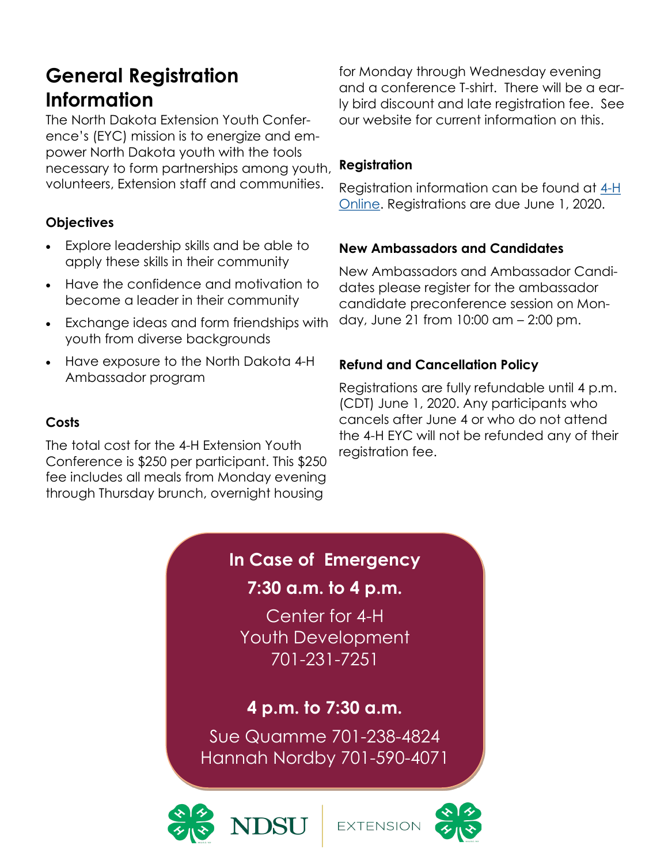# **General Registration Information**

The North Dakota Extension Youth Conference's (EYC) mission is to energize and empower North Dakota youth with the tools necessary to form partnerships among youth, volunteers, Extension staff and communities.

## **Objectives**

- Explore leadership skills and be able to apply these skills in their community
- Have the confidence and motivation to become a leader in their community
- Exchange ideas and form friendships with youth from diverse backgrounds
- Have exposure to the North Dakota 4-H Ambassador program

### **Costs**

The total cost for the 4-H Extension Youth Conference is \$250 per participant. This \$250 fee includes all meals from Monday evening through Thursday brunch, overnight housing

for Monday through Wednesday evening and a conference T-shirt. There will be a early bird discount and late registration fee. See our website for current information on this.

### **Registration**

Registration information can be found at [4-H](https://v2.4honline.com/#/user/sign-in)  [Online.](https://v2.4honline.com/#/user/sign-in) Registrations are due June 1, 2020.

### **New Ambassadors and Candidates**

New Ambassadors and Ambassador Candidates please register for the ambassador candidate preconference session on Monday, June 21 from 10:00 am – 2:00 pm.

## **Refund and Cancellation Policy**

Registrations are fully refundable until 4 p.m. (CDT) June 1, 2020. Any participants who cancels after June 4 or who do not attend the 4-H EYC will not be refunded any of their registration fee.

# **In Case of Emergency**

## **7:30 a.m. to 4 p.m.**

Center for 4-H Youth Development 701-231-7251

# **4 p.m. to 7:30 a.m.**

Sue Quamme 701-238-4824 Hannah Nordby 701-590-4071



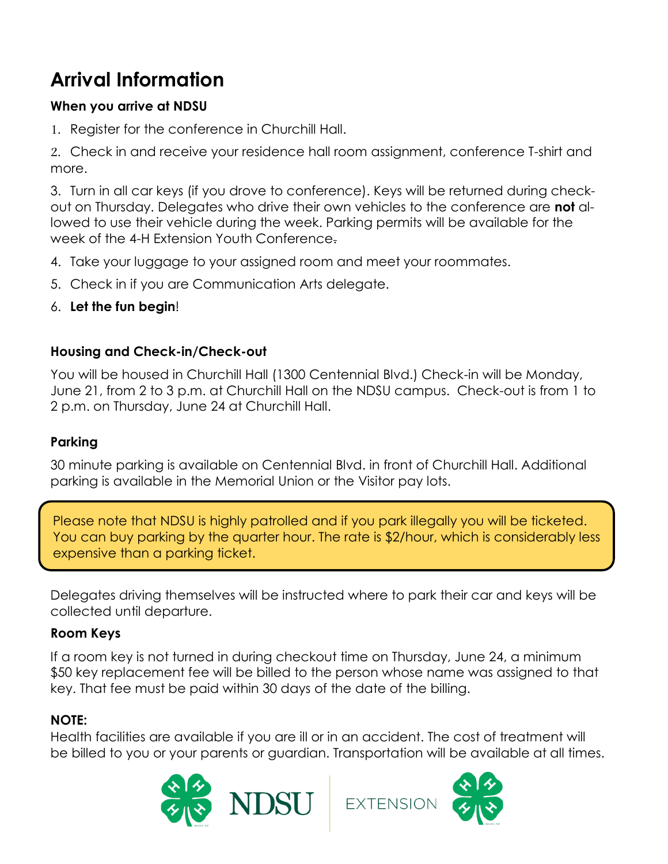# **Arrival Information**

### **When you arrive at NDSU**

1. Register for the conference in Churchill Hall.

2. Check in and receive your residence hall room assignment, conference T-shirt and more.

3. Turn in all car keys (if you drove to conference). Keys will be returned during checkout on Thursday. Delegates who drive their own vehicles to the conference are **not** allowed to use their vehicle during the week. Parking permits will be available for the week of the 4-H Extension Youth Conference.

- 4. Take your luggage to your assigned room and meet your roommates.
- 5. Check in if you are Communication Arts delegate.
- 6. **Let the fun begin**!

### **Housing and Check-in/Check-out**

You will be housed in Churchill Hall (1300 Centennial Blvd.) Check-in will be Monday, June 21, from 2 to 3 p.m. at Churchill Hall on the NDSU campus. Check-out is from 1 to 2 p.m. on Thursday, June 24 at Churchill Hall.

#### **Parking**

30 minute parking is available on Centennial Blvd. in front of Churchill Hall. Additional parking is available in the Memorial Union or the Visitor pay lots.

Please note that NDSU is highly patrolled and if you park illegally you will be ticketed. You can buy parking by the quarter hour. The rate is \$2/hour, which is considerably less expensive than a parking ticket.

Delegates driving themselves will be instructed where to park their car and keys will be collected until departure.

### **Room Keys**

If a room key is not turned in during checkout time on Thursday, June 24, a minimum \$50 key replacement fee will be billed to the person whose name was assigned to that key. That fee must be paid within 30 days of the date of the billing.

### **NOTE:**

Health facilities are available if you are ill or in an accident. The cost of treatment will be billed to you or your parents or guardian. Transportation will be available at all times.

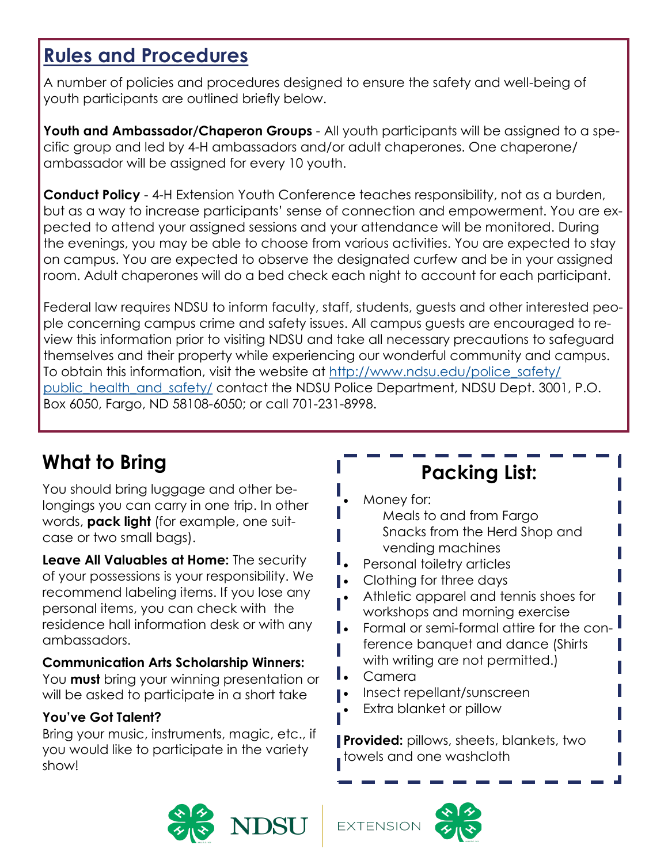# **Rules and Procedures**

A number of policies and procedures designed to ensure the safety and well-being of youth participants are outlined briefly below.

**Youth and Ambassador/Chaperon Groups** - All youth participants will be assigned to a specific group and led by 4-H ambassadors and/or adult chaperones. One chaperone/ ambassador will be assigned for every 10 youth.

**Conduct Policy** - 4-H Extension Youth Conference teaches responsibility, not as a burden, but as a way to increase participants' sense of connection and empowerment. You are expected to attend your assigned sessions and your attendance will be monitored. During the evenings, you may be able to choose from various activities. You are expected to stay on campus. You are expected to observe the designated curfew and be in your assigned room. Adult chaperones will do a bed check each night to account for each participant.

Federal law requires NDSU to inform faculty, staff, students, guests and other interested people concerning campus crime and safety issues. All campus guests are encouraged to review this information prior to visiting NDSU and take all necessary precautions to safeguard themselves and their property while experiencing our wonderful community and campus. To obtain this information, visit the website at [http://www.ndsu.edu/police\\_safety/](http://www.ndsu.edu/police_safety/public_health_and_safety/) [public\\_health\\_and\\_safety/](http://www.ndsu.edu/police_safety/public_health_and_safety/) contact the NDSU Police Department, NDSU Dept. 3001, P.O. Box 6050, Fargo, ND 58108-6050; or call 701-231-8998.

# **What to Bring**

You should bring luggage and other belongings you can carry in one trip. In other words, **pack light** (for example, one suitcase or two small bags).

**Leave All Valuables at Home:** The security of your possessions is your responsibility. We recommend labeling items. If you lose any personal items, you can check with the residence hall information desk or with any ambassadors.

### **Communication Arts Scholarship Winners:**

You **must** bring your winning presentation or will be asked to participate in a short take

### **You've Got Talent?**

Bring your music, instruments, magic, etc., if you would like to participate in the variety show!

# **Packing List:**

- Money for:
	- Meals to and from Fargo Snacks from the Herd Shop and vending machines
- Personal toiletry articles
- **•** Clothing for three days
	- Athletic apparel and tennis shoes for workshops and morning exercise
- Formal or semi-formal attire for the conference banquet and dance (Shirts with writing are not permitted.)
- Camera
- Insect repellant/sunscreen
- Extra blanket or pillow

**Provided:** pillows, sheets, blankets, two towels and one washcloth



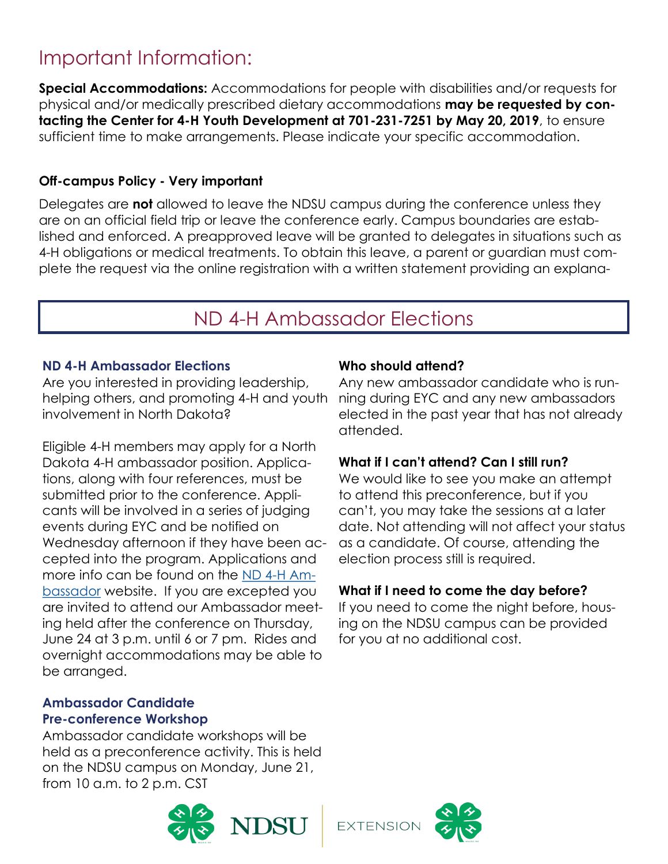# Important Information:

**Special Accommodations:** Accommodations for people with disabilities and/or requests for physical and/or medically prescribed dietary accommodations **may be requested by contacting the Center for 4-H Youth Development at 701-231-7251 by May 20, 2019**, to ensure sufficient time to make arrangements. Please indicate your specific accommodation.

#### **Off-campus Policy - Very important**

Delegates are **not** allowed to leave the NDSU campus during the conference unless they are on an official field trip or leave the conference early. Campus boundaries are established and enforced. A preapproved leave will be granted to delegates in situations such as 4-H obligations or medical treatments. To obtain this leave, a parent or guardian must complete the request via the online registration with a written statement providing an explana-

# ND 4-H Ambassador Elections

#### **ND 4-H Ambassador Elections**

Are you interested in providing leadership, helping others, and promoting 4-H and youth involvement in North Dakota?

Eligible 4-H members may apply for a North Dakota 4-H ambassador position. Applications, along with four references, must be submitted prior to the conference. Applicants will be involved in a series of judging events during EYC and be notified on Wednesday afternoon if they have been accepted into the program. Applications and more info can be found on the [ND 4-H Am](https://www.ndsu.edu/4h/parents/programs_events/overnight_tripscamps/extension_youth_conference/)[bassador](https://www.ndsu.edu/4h/parents/programs_events/overnight_tripscamps/extension_youth_conference/) website. If you are excepted you are invited to attend our Ambassador meeting held after the conference on Thursday, June 24 at 3 p.m. until 6 or 7 pm. Rides and overnight accommodations may be able to be arranged.

#### **Ambassador Candidate Pre-conference Workshop**

Ambassador candidate workshops will be held as a preconference activity. This is held on the NDSU campus on Monday, June 21, from 10 a.m. to 2 p.m. CST

#### **Who should attend?**

Any new ambassador candidate who is running during EYC and any new ambassadors elected in the past year that has not already attended.

#### **What if I can't attend? Can I still run?**

We would like to see you make an attempt to attend this preconference, but if you can't, you may take the sessions at a later date. Not attending will not affect your status as a candidate. Of course, attending the election process still is required.

#### **What if I need to come the day before?**

If you need to come the night before, housing on the NDSU campus can be provided for you at no additional cost.